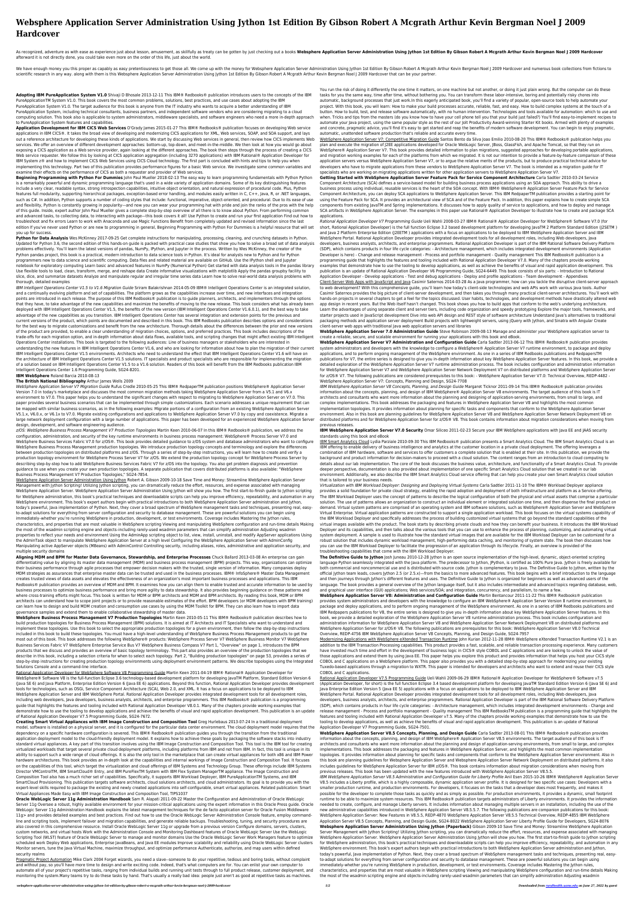# **Websphere Application Server Administration Using Jython 1st Edition By Gibson Robert A Mcgrath Arthur Kevin Bergman Noel J 2009 Hardcover**

As recognized, adventure as with ease as experience just about lesson, amusement, as skillfully as treaty can be gotten by just checking out a books Websphere Application Server Administration Using Jython 1st Edition By G afterward it is not directly done, you could take even more on the order of this life, just about the world.

We have enough money you this proper as capably as easy pretentiousness to get those all. We come up with the money for Websphere Application Server Administration Ist Edition By Gibson Robert A Mcgrath Arthur Kevin Bergma scientific research in any way. along with them is this Websphere Application Server Administration Using Jython 1st Edition By Gibson Robert A Mcgrath Arthur Kevin Bergman Noel J 2009 Hardcover that can be your partner.

**Adopting IBM PureApplication System V1.0** Shivaji D Bhosale 2013-12-11 This IBM® Redbooks® publication introduces users to the concepts of the IBM PureApplicationTM System V1.0. This book covers the most common problems, solutions, best practices, and use cases about adopting the IBM PureApplication System V1.0. The target audience for this book is anyone from the IT industry who wants to acquire a better understanding of IBM PureApplication System, including technical consultants, business partners, and independent software vendors who are considering migrating to a cloud computing solution. This book also is applicable to system administrators, middleware specialists, and software engineers who need a more in-depth approach to PureApplication System features and capabilities.

**Application Development for IBM CICS Web Services** O'Grady James 2015-01-27 This IBM® Redbooks® publication focuses on developing Web service applications in IBM CICS®. It takes the broad view of developing and modernizing CICS applications for XML, Web services, SOAP, and SOA support, and lays out a reference architecture for developing these kinds of applications. We start by discussing Web services in general, then review how CICS implements Web services. We offer an overview of different development approaches: bottom-up, top-down, and meet-in-the-middle. We then look at how you would go about exposing a CICS application as a Web service provider, again looking at the different approaches. The book then steps through the process of creating a CICS Web service requester. We follow this by looking at CICS application aggregation (including 3270 applications) with IBM Rational® Application Developer for IBM System z® and how to implement CICS Web Services using CICS Cloud technology. The first part is concluded with hints and tips to help you when implementing this technology. Part two of this publication provides performance figures for a basic Web service. We investigate some common variables and examine their effects on the performance of CICS as both a requester and provider of Web services.

Python for Data Analysis Wes McKinney 2017-09-25 Get complete instructions for manipulating, processing, cleaning, and crunching datasets in Python. Updated for Python 3.6, the second edition of this hands-on guide is packed with practical case studies that show you how to solve a broad set of data analysis problems effectively. You'll learn the latest versions of pandas, NumPy, IPython, and Jupyter in the process. Written by Wes McKinney, the creator of the Python pandas project, this book is a practical, modern introduction to data science tools in Python. It's ideal for analysts new to Python and for Python programmers new to data science and scientific computing. Data files and related material are available on GitHub. Use the IPython shell and Jupyter notebook for exploratory computing Learn basic and advanced features in NumPy (Numerical Python) Get started with data analysis tools in the pandas library Use flexible tools to load, clean, transform, merge, and reshape data Create informative visualizations with matplotlib Apply the pandas groupby facility to slice, dice, and summarize datasets Analyze and manipulate regular and irregular time series data Learn how to solve real-world data analysis problems with thorough, detailed examples

**Beginning Programming with Python For Dummies** John Paul Mueller 2018-02-13 The easy way to learn programming fundamentals with Python Python is a remarkably powerful and dynamic programming language that's used in a wide variety of application domains. Some of its key distinguishing features include a very clear, readable syntax, strong introspection capabilities, intuitive object orientation, and natural expression of procedural code. Plus, Python features full modularity, supporting hierarchical packages, exception-based error handling, and modules easily written in C, C++, Java, R, or .NET languages, such as C#. In addition, Python supports a number of coding styles that include: functional, imperative, object-oriented, and procedural. Due to its ease of use and flexibility, Python is constantly growing in popularity—and now you can wear your programming hat with pride and join the ranks of the pros with the help of this guide. Inside, expert author John Paul Mueller gives a complete step-by-step overview of all there is to know about Python. From performing common and advanced tasks, to collecting data, to interacting with package—this book covers it all! Use Python to create and run your first application Find out how to troubleshoot and fix errors Learn to work with Anaconda and use Magic Functions Benefit from completely updated and revised information since the last edition If you've never used Python or are new to programming in general, Beginning Programming with Python For Dummies is a helpful resource that will set you up for success.

IBM Intelligent Operations Center V1.5 to V1.6 Migration Guide Sriram Balakrishnan 2014-05-09 IBM® Intelligent Operations Center is an integrated solution, and a continually evolving platform and set of capabilities. The platform grows as the capabilities increase over time, and new interfaces and integration points are introduced in each release. The purpose of this IBM Redbooks® publication is to guide planners, architects, and implementers through the options that they have, to take advantage of the new capabilities and maximize the benefits of moving to the new release. This book considers what has already been deployed with IBM Intelligent Operations Center V1.5, the benefits of the new version (IBM Intelligent Operations Center V1.6.0.1), and the best way to take advantage of the new capabilities as you transition. IBM Intelligent Operations Center has several integration and extension points for the previous and current versions of the product, which points are documented and described in this book. This IBM Redbooks publication describes options and considerations for the best way to migrate customizations and benefit from the new architecture. Thorough details about the differences between the prior and new versions of the product are provided, to enable a clear understanding of migration choices, options, and preferred practices. This book includes descriptions of the trade-offs for each migration option, and in-depth information about data flows, available tools, and scripting changes that might affect existing IBM Intelligent Operations Center installations. This book is targeted to the following audiences: Line of business managers or stakeholders who are interested in understanding the new features in IBM Intelligent Operations Center V1.6, and who are looking for information about how to plan the migration of their current IBM Intelligent Operations Center V1.5 environments. Architects who need to understand the effect that IBM Intelligent Operations Center V1.6 will have on the architecture of IBM Intelligent Operations Center V1.5 solutions. IT specialists and product specialists who are responsible for implementing the migration of a solution based on IBM Intelligent Operations Center V1.5 to a V1.6 solution. Readers of this book will benefit from the IBM Redbooks publication IBM Intelligent Operations Center 1.6 Programming Guide, SG24-8201.

z/OS: WebSphere Business Process Management V7 Production Topologies Martin Keen 2010-06-07 In this IBM® Redbooks® publication, we address the configuration, administration, and security of the key runtime environments in business process management: WebSphere® Process Server V7.0 and WebSphere Business Services Fabric V7.0 for z/OS®. This book provides detailed guidance to z/OS system and database administrators who want to configure WebSphere Business Process Management production topologies. We introduce production topology concepts and terminology and explore the differences between production topologies on distributed platforms and z/OS. Through a series of step-by-step instructions, you will learn how to create and verify a production topology environment for WebSphere Process Server V7 for z/OS. We extend the production topology concept for WebSphere Process Server by describing step-by-step how to add WebSphere Business Services Fabric V7 for z/OS into the topology. You also get problem diagnosis and prevention guidance to use when you create your own production topologies. A separate publication that covers distributed platforms is also available: "WebSphere Business Process Management V7 Production Topologies," SG24-7854.

WebSphere Application Server Administration Using Jython Robert A. Gibson 2009-10-18 Save Time and Money: Streamline WebSphere Application Server Management with Jython Scripting! Utilizing Jython scripting, you can dramatically reduce the effort, resources, and expense associated with managing WebSphere Application Server. WebSphere Application Server Administration Using Jython will show you how. The first start-to-finish guide to Jython scripting for WebSphere administration, this book's practical techniques and downloadable scripts can help you improve efficiency, repeatability, and automation in any WebSphere environment. This book's expert authors begin with practical introductions to both WebSphere Application Server administration and Jython, today's powerful, Java implementation of Python. Next, they cover a broad spectrum of WebSphere management tasks and techniques, presenting real, easyto-adapt solutions for everything from server configuration and security to database management. These are powerful solutions you can begin using immediately–whether you're running WebSphere in production, development, or test environments. Coverage includes Mastering the Jython rules, characteristics, and properties that are most valuable in WebSphere scripting Viewing and manipulating WebSphere configuration and run-time details Making the most of the wsadmin scripting engine and objects–including rarely-used wsadmin parameters that can simplify administration Adjusting wsadmin properties to reflect your needs and environment Using the AdminApp scripting object to list, view, install, uninstall, and modify AppServer applications Using the AdminTask object to manipulate WebSphere Application Server at a high level Configuring the WebSphere Application Server with AdminConfig Manipulating active AppServer objects (MBeans) with AdminControl Controlling security, including aliases, roles, administrative and application security, and multiple security domains

#### **IBM WebSphere** Roland Barcia 2010-08-13

#### **The British National Bibliography** Arthur James Wells 2009

WebSphere Application Server V7 Migration Guide Rufus Credle 2010-05-25 This IBM® RedpaperTM publication positions WebSphere® Application Server Version 7.0 in today's marketplace and discusses the most common migration methods taking WebSphere Application Server from a V5.1 and V6.x environment to V7.0. This paper helps you to understand the significant changes with respect to migrating to WebSphere Application Server on V7.0. This paper provides several business scenarios that can be implemented through simple customizations. Each scenario addresses a unique requirement that can be mapped with similar business scenarios, as in the following examples: Migrate portions of a configuration from an existing WebSphere Application Server V5.1.x, V6.0.x, or V6.1x to V7.0. Migrate existing configurations and applications to WebSphere Application Server V7.0 by copy and coexistence. Migrate a large network deployment configuration with a large number of applications. This paper has been developed for an experienced WebSphere Application Server design, development, and software engineering audience.

You run the risk of doing it differently the one time it matters, on one machine but not another, or doing it just plain wrong. But the computer can do these tasks for you the same way, time after time, without bothering you. You can transform these labor-intensive, boring and potentially risky chores into automatic, background processes that just work.In this eagerly anticipated book, you'll find a variety of popular, open-source tools to help automate your project. With this book, you will learn: How to make your build processes accurate, reliable, fast, and easy. How to build complex systems at the touch of a button. How to build, test, and release software automatically, with no human intervention. Technologies and tools available for automation: which to use and when. Tricks and tips from the masters (do you know how to have your cell phone tell you that your build just failed?) You'll find easy-to-implement recipes to automate your Java project, using the same popular style as the rest of our Jolt Productivity Award-winning Starter Kit books. Armed with plenty of examples and concrete, pragmatic advice, you'll find it's easy to get started and reap the benefits of modern software development. You can begin to enjoy pragmatic, automatic, unattended software production that's reliable and accurate every time.

WebSphere Application Server V7: Competitive Migration Guide Santos Bento da Silva Joao Emilio 2010-08-20 This IBM® Redbooks® publication helps you plan and execute the migration of J2EE applications developed for Oracle WebLogic Server, JBoss, GlassFish, and Apache Tomcat, so that they run on WebSphere® Application Server V7. This book provides detailed information to plan migrations, suggested approaches for developing portable applications, and migration working examples for each of the platforms from which we migrated. It is not our intention to provide a feature-by-feature comparison of these application servers versus WebSphere Application Server V7, or to argue the relative merits of the products, but to produce practical technical advice for developers who have to migrate applications from these vendors to WebSphere Application Server V7. The book is intended as a migration guide for IT specialists who are working on migrating applications written for other application servers to WebSphere Application Server V7.

**Aligning MDM and BPM for Master Data Governance, Stewardship, and Enterprise Processes** Chuck Ballard 2013-03-08 An enterprise can gain differentiating value by aligning its master data management (MDM) and business process management (BPM) projects. This way, organizations can optimize their business performance through agile processes that empower decision makers with the trusted, single version of information. Many companies deploy MDM strategies as assurances that enterprise master data can be trusted and used in the business processes. IBM® InfoSphere® Master Data Management creates trusted views of data assets and elevates the effectiveness of an organization's most important business processes and applications. This IBM Redbooks® publication provides an overview of MDM and BPM. It examines how you can align them to enable trusted and accurate information to be used by business processes to optimize business performance and bring more agility to data stewardship. It also provides beginning guidance on these patterns and where cross-training efforts might focus. This book is written for MDM or BPM architects and MDM and BPM architects. By reading this book, MDM or BPM architects can understand how to scope joint projects or to provide reasonable estimates of the effort. BPM developers (or MDM developers with BPM training) can learn how to design and build MDM creation and consumption use cases by using the MDM Toolkit for BPM. They can also learn how to import data governance samples and extend them to enable collaborative stewardship of master data.

**WebSphere Business Process Management V7 Production Topologies** Martin Keen 2010-05-11 This IBM® Redbooks® publication describes how to build production topologies for Business Process Management (BPM) solutions. It is aimed at IT Architects and IT Specialists who want to understand and implement these topologies. Use this book to select the appropriate production topologies for a given environment, then follow the step-by-step instructions included in this book to build these topologies. You must have a high-level understanding of WebSphere Business Process Management products to get the most out of this book. This book addresses the following WebSphere® products: WebSphere Process Server V7 WebSphere Business Monitor V7 WebSphere Business Services Fabric V7 WebSphere Enterprise Service Bus V7 WebSphere Business Compass V7 Part 1, "Overview" on page 1, introduces the BPM products that we discuss and provides an overview of basic topology terminology. This part also provides an overview of the production topologies that we describe in this book, including a selection criteria for when to select each topology. Part 2, "Building production topologies" on page 53, provides a series of step-by-step instructions for creating production topology environments using deployment environment patterns. We describe topologies using the Integrated Solutions Console and a command-line interface.

**The Definitive Guide to Jython** Josh Juneau 2010-12-28 Jython is an open source implementation of the high-level, dynamic, object-oriented scripting language Python seamlessly integrated with the Java platform. The predecessor to Jython, JPython, is certified as 100% Pure Java. Jython is freely available for both commercial and noncommercial use and is distributed with source code. Jython is complementary to Java. The Definitive Guide to Jython, written by the official Jython team leads, covers Jython 2.5 (or 2.5.x)—from the basics to more advanced features. This book begins with a brief introduction to the language and then journeys through Jython's different features and uses. The Definitive Guide to Jython is organized for beginners as well as advanced users of the language. The book provides a general overview of the Jython language itself, but it also includes intermediate and advanced topics regarding database, web, and graphical user interface (GUI) applications; Web services/SOA; and integration, concurrency, and parallelism, to name a few.

Rational Application Developer for WebSphere Software V8 Programming Guide Martin Keen 2011-04-19 IBM® Rational® Application Developer for WebSphere® Software V8 is the full-function Eclipse 3.6 technology-based development platform for developing JavaTM Platform, Standard Edition Version 6 (Java SE 6) and Java Platform, Enterprise Edition Version 6 (Java EE 6) applications. Beyond this function, Rational Application Developer provides development tools for technologies, such as OSGi, Service Component Architecture (SCA), Web 2.0, and XML. It has a focus on applications to be deployed to IBM WebSphere Application Server and IBM WebSphere Portal. Rational Application Developer provides integrated development tools for all development roles, including web developers, Java developers, business analysts, architects, and enterprise programmers. This IBM Redbooks® publication is a programming guide that highlights the features and tooling included with Rational Application Developer V8.0.1. Many of the chapters provide working examples that demonstrate how to use the tooling to develop applications and achieve the benefits of visual and rapid application development. This publication is an update of Rational Application Developer V7.5 Programming Guide, SG24-7672. **Creating Smart Virtual Appliances with IBM Image Construction and Composition Tool** Greg Hurlebaus 2013-07-24 In a traditional deployment model, software is installed on a physical server, and it is configured for the particular data center environment. The cloud deployment model requires that the dependency on a specific hardware configuration is severed. This IBM® Redbooks® publication guides you through the transition from the traditional application deployment model to the cloud-friendly deployment model. It explains how to achieve these goals by packaging the software stacks into industry standard virtual appliances. A key part of this transition involves using the IBM Image Construction and Composition Tool. This tool is the IBM tool for creating virtualized workloads that target several private cloud deployment platforms, including platforms from IBM and not from IBM. In fact, this tool is unique in its ability to support such a wide range of cloud offerings. It is also the only tool in the marketplace that can create virtual appliances for both x86 and IBM Power hardware architectures. This book provides an in-depth look at the capabilities and internal workings of Image Construction and Composition Tool. It focuses on the capabilities of this tool, which target the virtualization and cloud offerings of IBM Systems and Technology Group. These offerings include IBM Systems Director VMControlTM, IBM SmartCloud® Entry, and IBM PureFlexTM System with IBM Flex System ManagerTM appliance. The Image Construction and Composition Tool also has a much richer set of capabilities. Specifically, it supports IBM Workload Deployer, IBM PureApplicationTM Systems, and IBM SmartCloud Provisioning. This publication targets software architects, cloud solutions architects, and cloud administrators. Its goal is to provide you with the expert-level skills required to package the existing and newly created applications into self-configurable, smart virtual appliances. Related publication: Smart Virtual Appliances Made Easy with IBM Image Construction and Composition Tool, TIPS1037 **Oracle WebLogic Server 11g Administration Handbook** Sam R. Alapati 2011-09-22 Master the Configuration and Administration of Oracle WebLogic Server 11g Oversee a robust, highly available environment for your mission-critical applications using the expert information in this Oracle Press guide. Oracle WebLogic Server 11g Administration Handbook explains the latest management techniques for the de facto application server for Oracle Fusion Middleware 11g> and provides detailed examples and best practices. Find out how to use the Oracle WebLogic Server Administration Console feature, employ commandline and scripting tools, implement failover and migration capabilities, and generate reliable backups. Troubleshooting, tuning, and security procedures are also covered in this comprehensive resource. Install Oracle WebLogic Server 11g or upgrade from a previous version Configure domains, servers, clusters, custom networks, and virtual hosts Work with the Administration Console and Monitoring Dashboard features of Oracle WebLogic Server Use the WebLogic Scripting Tool (WLST) feature of Oracle WebLogic Server to manage and monitor domains Use the Oracle WebLogic Server Work Managers feature to optimize scheduled work Deploy Web applications, Enterprise JavaBeans, and Java EE modules Improve scalability and reliability using Oracle WebLogic Server clusters Monitor servers, tune the Java Virtual Machine, maximize throughput, and optimize performance Authenticate, authorize, and map users within defined security realms Pragmatic Project Automation Mike Clark 2004 Forget wizards, you need a slave--someone to do your repetitive, tedious and boring tasks, without complaint and without pay, so you'll have more time to design and write exciting code. Indeed, that's what computers are for. You can enlist your own computer to automate all of your project's repetitive tasks, ranging from individual builds and running unit tests through to full product release, customer deployment, and monitoring the system.Many teams try to do these tasks by hand. That's usually a really bad idea: people just aren't as good at repetitive tasks as machines.

**Getting Started with WebSphere Application Server Feature Pack for Service Component Architecture** Carla Sadtler 2010-03-24 Service Component Architecture (SCA) defines a service-based model for building business process applications using an SOA approach. This ability to drive a business process using individual, reusable services is the heart of the SOA concept. With IBM® WebSphere® Application Server Feature Pack for Service Component Architecture, you can deploy SCA applications to WebSphere Application Server. This IBM RedpaperTM publication provides a starting point for using the Feature Pack for SCA. It provides an architectural view of SCA and of the Feature Pack. In addition, this paper explains how to create simple SCA components from existing JavaTM and Spring implementations. It discusses how to apply quality of service to applications, and how to deploy and manage SCA artifacts in WebSphere Application Server. The examples in this paper use Rational® Application Developer to illustrate how to create and package SCA applications.

Rational Application Developer V7 Programming Guide Ueli Wahli 2008-03-27 IBM® Rational® Application Developer for WebSphere® Software V7.0 (for short, Rational Application Developer) is the full function Eclipse 3.2 based development platform for developing JavaTM 2 Platform Standard Edition (J2SETM ) and Java 2 Platform Enterprise Edition (J2EETM ) applications with a focus on applications to be deployed to IBM WebSphere Application Server and IBM WebSphere Portal. Rational Application Developer provides integrated development tools for all development roles, including Web developers, Java developers, business analysts, architects, and enterprise programmers. Rational Application Developer is part of the IBM Rational Software Delivery Platform (SDP), which contains products in four life cycle categories: - Architecture management, which includes integrated development environments (Application Developer is here) - Change and release management - Process and portfolio management - Quality management This IBM Redbooks® publication is a programming guide that highlights the features and tooling included with Rational Application Developer V7.0. Many of the chapters provide working examples that demonstrate how to use the tooling to develop applications, as well as achieve the benefits of visual and rapid application development. This publication is an update of Rational Application Developer V6 Programming Guide, SG24-6449. This book consists of six parts: - Introduction to Rational Application Developer - Develop applications - Test and debug applications - Deploy and profile applications - Team development - Appendixes Client-Server Web Apps with JavaScript and Java Casimir Saternos 2014-03-28 As a Java programmer, how can you tackle the disruptive client-server approach to web development? With this comprehensive guide, you'll learn how today's client-side technologies and web APIs work with various Java tools. Author Casimir Saternos provides the big picture of client-server development, and then takes you through many practical client-server architectures. You'll work with hands-on projects in several chapters to get a feel for the topics discussed. User habits, technologies, and development methods have drastically altered web app design in recent years. But the Web itself hasn't changed. This book shows you how to build apps that conform to the web's underlying architecture. Learn the advantages of using separate client and server tiers, including code organization and speedy prototyping Explore the major tools, frameworks, and starter projects used in JavaScript development Dive into web API design and REST style of software architecture Understand Java's alternatives to traditional packaging methods and application server deployment Build projects with lightweight servers, using jQuery with Jython, and Sinatra with Angular Create client-server web apps with traditional Java web application servers and libraries

**WebSphere Application Server 7.0 Administration Guide** Steve Robinson 2009-08-13 Manage and administer your WebSphere application server to create a reliable, secure, and scalable environment for running your applications with this book and eBook.

**WebSphere Application Server V7 Administration and Configuration Guide** Carla Sadtler 2013-06-12 This IBM® Redbooks® publication provides system administrators and developers with the knowledge to configure a WebSphere® Application Server V7 runtime environment, to package and deploy applications, and to perform ongoing management of the WebSphere environment. As one in a series of IBM Redbooks publications and RedpapersTM publications for V7, the entire series is designed to give you in-depth information about key WebSphere Application Server features. In this book, we provide a detailed exploration of the WebSphere Application Server V7 runtime administration process. The book includes configuration and administration information for WebSphere Application Server V7 and WebSphere Application Server Network Deployment V7 on distributed platforms and WebSphere Application Server for z/OS® V7. The following publications are considered prerequisites to this book: - WebSphere Application Server V7.0: Technical Overview, REDP-4482 -WebSphere Application Server V7: Concepts, Planning and Design, SG24-7708

IBM WebSphere Application Server V8 Concepts, Planning, and Design Guide Margaret Ticknor 2011-09-14 This IBM® Redbooks® publication provides information about the concepts, planning, and design of IBM WebSphere® Application Server V8 environments. The target audience of this book is IT architects and consultants who want more information about the planning and designing of application-serving environments, from small to large, and complex implementations. This book addresses the packaging and features in WebSphere Application Server V8 and highlights the most common implementation topologies. It provides information about planning for specific tasks and components that conform to the WebSphere Application Server environment. Also in this book are planning guidelines for WebSphere Application Server V8 and WebSphere Application Server Network Deployment V8 on distributed platforms and for WebSphere Application Server for z/OS® V8. This book contains information about migration considerations when moving from previous releases.

## **IBM WebSphere Application Server V7.0 Security** Omar Siliceo 2011-02-23 Secure your IBM WebSphere applications with Java EE and JAAS security standards using this book and eBook

IBM Smart Analytics Cloud Lydia Parziale 2010-09-30 This IBM Redbooks® publication presents a Smart Analytics Cloud. The IBM Smart Analytics Cloud is an IBM offering to enable delivery of business intelligence and analytics at the customer location in a private cloud deployment. The offering leverages a combination of IBM hardware, software and services to offer customers a complete solution that is enabled at their site. In this publication, we provide the background and product information for decision-makers to proceed with a cloud solution. The content ranges from an introduction to cloud computing to details about our lab implementation. The core of the book discusses the business value, architecture, and functionality of a Smart Analytics Cloud. To provide deeper perspective, documentation is also provided about implementation of one specific Smart Analytics Cloud solution that we created in our lab environment. Additionally, we also describe the IBM Smart Analytics Cloud service offering that can help you create your own Smart Analytics cloud solution that is tailored to your business needs.

Virtualization with IBM Workload Deployer: Designing and Deploying Virtual Systems Carla Sadtler 2011-11-10 The IBM® Workload Deployer appliance provides a solid foundation for private cloud strategy, enabling the rapid adoption and deployment of both infrastructure and platform as a Service offering. The IBM Workload Deployer uses the concept of patterns to describe the logical configuration of both the physical and virtual assets that comprise a particular solution. The use of patterns allows an organization to construct an individual element or integrated solution one time, and then dispense the final product on demand. Virtual system patterns are comprised of an operating system and IBM software solutions, such as WebSphere® Application Server and WebSphere Virtual Enterprise. Virtual application patterns are constructed to support a single application workload. This book focuses on the virtual systems capability of the IBM Workload Deployer and specifically addresses the process of building customized virtual systems that go beyond the standard capabilities of the virtual images available with the product. The book starts by describing private clouds and how they can benefit your business. It introduces the IBM Workload Deployer and its capabilities, and then talks about the various tools that you can use to enhance the process of planning, customizing, and automating virtual system deployment. A sample is used to illustrate how the standard virtual images that are available for the IBM Workload Deployer can be customized for a robust solution that includes dynamic workload management, high-performing data caching, and monitoring of system state. The book then discusses how you can use the IBM Workload Deployer to facilitate the progression of an application through its lifecycle. Finally, an overview is provided of the troubleshooting capabilities that come with the IBM Workload Deployer.

**WebSphere Application Server V8: Administration and Configuration Guide** Martin Bentancour 2011-11-22 This IBM® Redbooks® publication provides system administrators and developers with the knowledge to configure an IBM WebSphere® Application Server Version 8 runtime environment, to package and deploy applications, and to perform ongoing management of the WebSphere environment. As one in a series of IBM Redbooks publications and IBM Redpapers publications for V8, the entire series is designed to give you in-depth information about key WebSphere Application Server features. In this book, we provide a detailed exploration of the WebSphere Application Server V8 runtime administration process. This book includes configuration and administration information for WebSphere Application Server V8 and WebSphere Application Server Network Deployment V8 on distributed platforms and WebSphere Application Server for z/OS® V8. The following publications are prerequisites for this book: WebSphere Application Server V8.0 Technical Overview, REDP-4756 IBM WebSphere Application Server V8 Concepts, Planning, and Design Guide, SG24-7957

Modernizing Applications with WebSphere eXtended Transaction Runtime John Kurian 2012-11-28 IBM® WebSphere eXtended Transaction Runtime V2.1 is an addition to the IBM Transaction Processing capabilities. This product provides a fast, scalable, and reliable transaction processing experience. Many customers have invested much time and effort in the development of business logic in CICS® style COBOL and C applications and are looking to unlock the value of those applications and extend them by using Java EE. This paper helps you explore this product and provides information that helps you host your CICS style COBOL and C applications on a WebSphere platform. This paper also provides you with a detailed step-by-step approach for modernizing your existing Tuxedo-based applications through a migration to WXTR. This paper is intended for developers and architects who want to extend and reuse their CICS style COBOL and C applications.

Rational Application Developer V7.5 Programming Guide Ueli Wahli 2009-06-29 IBM® Rational® Application Developer for WebSphere® Software v7.5 (Application Developer, for short) is the full function Eclipse 3.4 based development platform for developing JavaTM Standard Edition Version 6 (Java SE 6) and Java Enterprise Edition Version 5 (Java EE 5) applications with a focus on applications to be deployed to IBM WebSphere Application Server and IBM WebSphere Portal. Rational Application Developer provides integrated development tools for all development roles, including Web developers, Java developers, business analysts, architects, and enterprise programmers. Rational Application Developer is part of the IBM Rational Software Delivery Platform (SDP), which contains products in four life cycle categories: - Architecture management, which includes integrated development environments - Change and release management - Process and portfolio management - Quality management This IBM RedbooksTM publication is a programming guide that highlights the features and tooling included with Rational Application Developer v7.5. Many of the chapters provide working examples that demonstrate how to use the tooling to develop applications, as well as achieve the benefits of visual and rapid application development. This publication is an update of Rational Application Developer V7 Programming Guide, SG24-7501.

**WebSphere Application Server V8.5 Concepts, Planning, and Design Guide** Carla Sadtler 2013-08-01 This IBM® Redbooks® publication provides information about the concepts, planning, and design of IBM WebSphere® Application Server V8.5 environments. The target audience of this book is IT architects and consultants who want more information about the planning and design of application-serving environments, from small to large, and complex implementations. This book addresses the packaging and features in WebSphere Application Server, and highlights the most common implementation topologies. It provides information about planning for specific tasks and components that conform to the WebSphere Application Server environment. Also in this book are planning guidelines for Websphere Application Server and Websphere Application Server Network Deployment on distributed platforms. It also includes guidelines for WebSphere Application Server for IBM z/OS®. This book contains information about migration considerations when moving from previous releases. This book has been updated with the new features introduced with WebSphere Application Server V8.5.5.

IBM WebSphere Application Server V8.5 Administration and Configuration Guide for Liberty Profile Anil Esen 2015-10-26 IBM® WebSphere® Application Server V8.5 includes a Liberty profile, which is a highly composable, dynamic application server profile. It is designed for two specific use cases: Developers with a smaller production runtime, and production environments. For developers, it focuses on the tasks that a developer does most frequently, and makes it possible for the developer to complete those tasks as quickly and as simply as possible. For production environments, it provides a dynamic, small footprint runtime to be able to maximize system resources. This IBM Redbooks® publication targets administrators of Liberty environments. It provides the information needed to create, configure, and manage Liberty servers. It includes information about managing multiple servers in an installation, including the use of the new administrative capabilities introduced in WebSphere Application Server V8.5.5.7. The following publications are companion publications for this book: WebSphere Application Server: New Features in V8.5.5, REDP-4870 WebSphere Application Server V8.5.5 Technical Overview, REDP-4855 IBM WebSphere Application Server V8.5 Concepts, Planning, and Design Guide, SG24-8022 WebSphere Application Server Liberty Profile Guide for Developers, SG24-8076 **Websphere Application Server Administration Using Jython (Paperback)** Gibson 2009-10 Save Time and Money: Streamline WebSphere Application Server Management with Jython Scripting! Utilizing Jython scripting, you can dramatically reduce the effort, resources, and expense associated with managing WebSphere Application Server. WebSphere Application Server Administration Using Jython will show you how. The first start-to-finish guide to Jython scripting for WebSphere administration, this book's practical techniques and downloadable scripts can help you improve efficiency, repeatability, and automation in any WebSphere environment. This book's expert authors begin with practical introductions to both WebSphere Application Server administration and Jython, today's powerful, Java implementation of Python. Next, they cover a broad spectrum of WebSphere management tasks and techniques, presenting real, easyto-adapt solutions for everything from server configuration and security to database management. These are powerful solutions you can begin using immediately-whether you're running WebSphere in production, development, or test environments. Coverage includes Mastering the Jython rules, characteristics, and properties that are most valuable in WebSphere scripting Viewing and manipulating WebSphere configuration and run-time details Making the most of the wsadmin scripting engine and objects-including rarely-used wsadmin parameters that can simplify administration Adjusting wsadmin